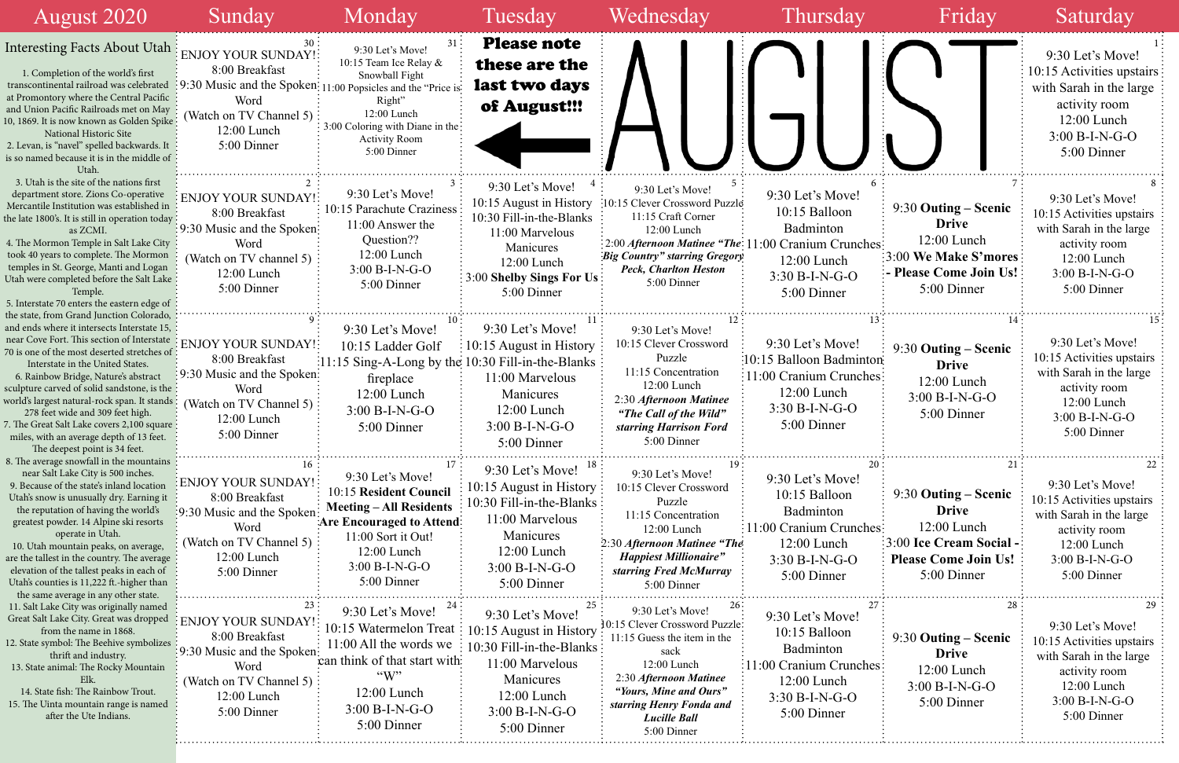|                             |                                                                                                                                           | 9:30<br>10:15 A<br>with Sa<br>ac<br>12<br>3:00<br>5              |
|-----------------------------|-------------------------------------------------------------------------------------------------------------------------------------------|------------------------------------------------------------------|
| 6<br>hes<br>$\overline{13}$ | 7<br>9:30 Outing – Scenic<br><b>Drive</b><br>12:00 Lunch<br>3:00 We Make S'mores<br>- Please Come Join Us!<br>5:00 Dinner<br>.<br>14      | 9:3(<br>10:15A<br>with S<br>ac<br>11<br>3:0<br>5                 |
| ton:<br>hes                 | 9:30 Outing – Scenic<br><b>Drive</b><br>12:00 Lunch<br>$3:00 B-I-N-G-O$<br>5:00 Dinner                                                    | 9:3(<br>10:15A<br>with S<br>a<br>1<br>3:0<br>5                   |
| 20<br>hes                   | $\sim$ 21<br>9:30 Outing – Scenic<br><b>Drive</b><br>12:00 Lunch<br>3:00 Ice Cream Social -<br><b>Please Come Join Us!</b><br>5:00 Dinner | 9:30<br>10:15 A<br>with Sa<br>ac<br>1'<br>3:00<br>5 <sub>1</sub> |
| 27<br>hes                   | 28<br>9:30 Outing – Scenic<br><b>Drive</b><br>12:00 Lunch<br>$3:00 B-I-N-G-O$<br>5:00 Dinner                                              | 9:30<br>10:15 A<br>with S<br>ac<br>1'<br>3:0<br>5                |

| <b>August 2020</b>                                                                                                                                                                                                                                                                                                                                                                                                                                                                                                               | Sunday                                                                                                                                                                          | Monday                                                                                                                                                                            | Tuesday                                                                                                                                                             | Wednesday                                                                                                                                                                                                                        | Thursday                                                                                                                                                 | Friday                                                                                                                                | Saturday                                                                                                                                      |
|----------------------------------------------------------------------------------------------------------------------------------------------------------------------------------------------------------------------------------------------------------------------------------------------------------------------------------------------------------------------------------------------------------------------------------------------------------------------------------------------------------------------------------|---------------------------------------------------------------------------------------------------------------------------------------------------------------------------------|-----------------------------------------------------------------------------------------------------------------------------------------------------------------------------------|---------------------------------------------------------------------------------------------------------------------------------------------------------------------|----------------------------------------------------------------------------------------------------------------------------------------------------------------------------------------------------------------------------------|----------------------------------------------------------------------------------------------------------------------------------------------------------|---------------------------------------------------------------------------------------------------------------------------------------|-----------------------------------------------------------------------------------------------------------------------------------------------|
| <b>Interesting Facts About Utah</b><br>1. Completion of the world's first<br>transcontinental railroad was celebrated<br>at Promontory where the Central Pacific<br>and Union Pacific Railroads met on May<br>10, 1869. It is now known as Golden Spike<br>National Historic Site<br>2. Levan, is "navel" spelled backwards. It<br>is so named because it is in the middle of<br>Utah.                                                                                                                                           | <b>ENJOY YOUR SUNDAY!</b><br>8:00 Breakfast<br>9:30 Music and the Spoken: 11:00 Popsicles and the "Price is<br>Word<br>(Watch on TV Channel 5):<br>$12:00$ Lunch<br>5:00 Dinner | 9:30 Let's Move!<br>10:15 Team Ice Relay &<br>Snowball Fight<br>Right"<br>12:00 Lunch<br>3:00 Coloring with Diane in the<br><b>Activity Room</b><br>5:00 Dinner                   | <b>Please note</b><br>these are the<br>last two days<br>of August!!!                                                                                                |                                                                                                                                                                                                                                  |                                                                                                                                                          |                                                                                                                                       | 9:30 Let's Move!<br>10:15 Activities upstairs<br>with Sarah in the large<br>activity room<br>$12:00$ Lunch<br>$3:00 B-I-N-G-O$<br>5:00 Dinner |
| 3. Utah is the site of the nations first<br>department store. Zions Co-operative<br>Mercantile Institution was established in<br>the late 1800's. It is still in operation today<br>as ZCMI.<br>4. The Mormon Temple in Salt Lake City<br>took 40 years to complete. The Mormon<br>temples in St. George, Manti and Logan<br>Utah were completed before the Salt Lake<br>Temple.<br>5. Interstate 70 enters the eastern edge of                                                                                                  | <b>ENJOY YOUR SUNDAY!</b><br>8:00 Breakfast<br>9:30 Music and the Spoken:<br>Word<br>(Watch on TV channel 5)<br>12:00 Lunch<br>5:00 Dinner                                      | 9:30 Let's Move!<br>10:15 Parachute Craziness<br>11:00 Answer the<br>Question??<br>$12:00$ Lunch<br>$3:00 B-I-N-G-O$<br>5:00 Dinner                                               | 9:30 Let's Move!<br>10:15 August in History<br>10:30 Fill-in-the-Blanks<br>11:00 Marvelous<br>Manicures<br>12:00 Lunch<br>3:00 Shelby Sings For Us<br>5:00 Dinner   | 9:30 Let's Move!<br>:10:15 Clever Crossword Puzzle<br>11:15 Craft Corner<br>12:00 Lunch<br><b>Big Country" starring Gregory</b><br><b>Peck, Charlton Heston</b><br>5:00 Dinner                                                   | 9:30 Let's Move!<br>10:15 Balloon<br>Badminton<br>2:00 Afternoon Matinee "The: 11:00 Cranium Crunches:<br>12:00 Lunch<br>$3:30 B-I-N-G-O$<br>5:00 Dinner | $9:30$ Outing – Scenic<br><b>Drive</b><br>$12:00$ Lunch<br>:3:00 We Make S'mores<br>- Please Come Join Us!<br>5:00 Dinner             | 9:30 Let's Move!<br>10:15 Activities upstairs<br>with Sarah in the large<br>activity room<br>12:00 Lunch<br>$3:00 B-I-N-G-O$<br>5:00 Dinner   |
| the state, from Grand Junction Colorado,<br>and ends where it intersects Interstate 15,<br>near Cove Fort. This section of Interstate<br>70 is one of the most deserted stretches of<br>Interstate in the United States.<br>6. Rainbow Bridge, Nature's abstract<br>sculpture carved of solid sandstone, is the<br>world's largest natural-rock span. It stands :<br>278 feet wide and 309 feet high.<br>7. The Great Salt Lake covers 2,100 square<br>miles, with an average depth of 13 feet.<br>The deepest point is 34 feet. | <b>ENJOY YOUR SUNDAY!</b><br>8:00 Breakfast<br>9:30 Music and the Spoken:<br>Word<br>(Watch on TV Channel 5)<br>$12:00$ Lunch<br>5:00 Dinner                                    | 9:30 Let's Move!<br>10:15 Ladder Golf<br>:11:15 Sing-A-Long by the 10:30 Fill-in-the-Blanks :<br>fireplace<br>$12:00$ Lunch<br>$3:00 B-I-N-G-O$<br>5:00 Dinner                    | 9:30 Let's Move!<br>10:15 August in History<br>11:00 Marvelous<br>Manicures<br>12:00 Lunch<br>$3:00 B-I-N-G-O$<br>5:00 Dinner                                       | 9:30 Let's Move!<br>10:15 Clever Crossword<br>Puzzle<br>11:15 Concentration<br>12:00 Lunch<br>2:30 Afternoon Matinee<br>"The Call of the Wild"<br>starring Harrison Ford<br>5:00 Dinner                                          | 9:30 Let's Move!<br>:10:15 Balloon Badminton:<br>:11:00 Cranium Crunches:<br>$12:00$ Lunch<br>$3:30 B-I-N-G-O$<br>5:00 Dinner                            | 9:30 Outing – Scenic<br><b>Drive</b><br>$12:00$ Lunch<br>$3:00 B-I-N-G-O$<br>5:00 Dinner                                              | 9:30 Let's Move!<br>10:15 Activities upstairs<br>with Sarah in the large<br>activity room<br>$12:00$ Lunch<br>3:00 B-I-N-G-O<br>5:00 Dinner   |
| 8. The average snowfall in the mountains<br>near Salt Lake City is 500 inches.<br>9. Because of the state's inland location<br>Utah's snow is unusually dry. Earning it<br>the reputation of having the world's<br>greatest powder. 14 Alpine ski resorts<br>operate in Utah.<br>10. Utah mountain peaks, on average,<br>are the tallest in the country. The average<br>elevation of the tallest peaks in each of<br>Utah's counties is 11,222 ft.-higher than<br>the same average in any other state.                           | 16<br>ENJOY YOUR SUNDAY!<br>8:00 Breakfast<br>9:30 Music and the Spoken<br>Word<br>(Watch on TV Channel 5)<br>$12:00$ Lunch<br>5:00 Dinner                                      | 9:30 Let's Move!<br>10:15 Resident Council<br><b>Meeting – All Residents</b><br>Are Encouraged to Attend:<br>11:00 Sort it Out!<br>12:00 Lunch<br>$3:00 B-I-N-G-O$<br>5:00 Dinner | 9:30 Let's Move! $^{18}$<br>10:15 August in History<br>10:30 Fill-in-the-Blanks :<br>11:00 Marvelous<br>Manicures<br>12:00 Lunch<br>$3:00 B-I-N-G-O$<br>5:00 Dinner | 9:30 Let's Move!<br>10:15 Clever Crossword<br>Puzzle<br>11:15 Concentration<br>12:00 Lunch<br>2:30 Afternoon Matinee "The<br><b>Happiest Millionaire"</b><br>starring Fred McMurray<br>5:00 Dinner                               | 9:30 Let's Move!<br>10:15 Balloon<br>Badminton<br>: 11:00 Cranium Crunches:<br>12:00 Lunch<br>$3:30 B-I-N-G-O$<br>5:00 Dinner                            | $9:30$ Outing – Scenic<br><b>Drive</b><br>12:00 Lunch<br><b>3:00 Ice Cream Social -</b><br><b>Please Come Join Us!</b><br>5:00 Dinner | 9:30 Let's Move!<br>10:15 Activities upstairs<br>with Sarah in the large<br>activity room<br>12:00 Lunch<br>3:00 B-I-N-G-O<br>5:00 Dinner     |
| 11. Salt Lake City was originally named<br>Great Salt Lake City. Great was dropped<br>from the name in 1868.<br>12. State symbol: The Beehive symbolizes<br>thrift and industry.<br>13. State animal: The Rocky Mountain<br>Elk.<br>14. State fish: The Rainbow Trout.<br>15. The Uinta mountain range is named<br>after the Ute Indians.                                                                                                                                                                                        | <b>ENJOY YOUR SUNDAY!</b><br>8:00 Breakfast<br>9:30 Music and the Spoken:<br>Word<br>(Watch on TV Channel 5)<br>$12:00$ Lunch<br>5:00 Dinner                                    | 9:30 Let's Move!<br>10:15 Watermelon Treat<br>$11:00$ All the words we<br>can think of that start with-<br>$\lq\lq W$<br>$12:00$ Lunch<br>$3:00 B-I-N-G-O$<br>5:00 Dinner         | 9:30 Let's Move!<br>10:15 August in History<br>10:30 Fill-in-the-Blanks<br>11:00 Marvelous<br>Manicures<br>12:00 Lunch<br>$3:00 B-I-N-G-O$<br>5:00 Dinner           | 9:30 Let's Move!<br>10:15 Clever Crossword Puzzle:<br>$11:15$ Guess the item in the<br>sack<br>12:00 Lunch<br>2:30 Afternoon Matinee<br>"Yours, Mine and Ours"<br>starring Henry Fonda and<br><b>Lucille Ball</b><br>5:00 Dinner | 9:30 Let's Move!<br>10:15 Balloon<br>Badminton<br>11:00 Cranium Crunches<br>12:00 Lunch<br>$3:30 B-I-N-G-O$<br>5:00 Dinner                               | 9:30 Outing – Scenic<br><b>Drive</b><br>$12:00$ Lunch<br>$3:00 B-I-N-G-O$<br>5:00 Dinner                                              | 9:30 Let's Move!<br>10:15 Activities upstairs<br>with Sarah in the large<br>activity room<br>12:00 Lunch<br>3:00 B-I-N-G-O<br>5:00 Dinner     |